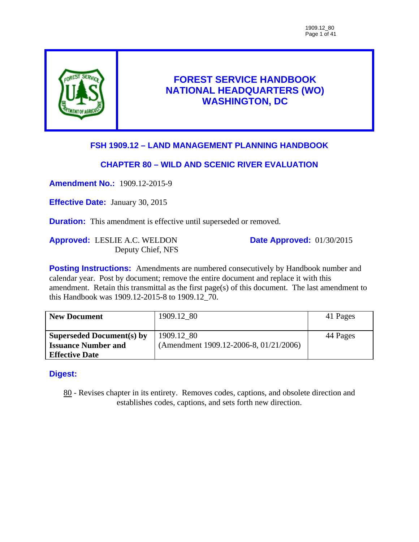

# **FOREST SERVICE HANDBOOK NATIONAL HEADQUARTERS (WO) WASHINGTON, DC**

# **FSH 1909.12 – LAND MANAGEMENT PLANNING HANDBOOK**

## **CHAPTER 80 – WILD AND SCENIC RIVER EVALUATION**

**Amendment No.:** 1909.12-2015-9

**Effective Date:** January 30, 2015

**Duration:** This amendment is effective until superseded or removed.

**Approved:** LESLIE A.C. WELDON Deputy Chief, NFS **Date Approved:** 01/30/2015

**Posting Instructions:** Amendments are numbered consecutively by Handbook number and calendar year. Post by document; remove the entire document and replace it with this amendment. Retain this transmittal as the first page(s) of this document. The last amendment to this Handbook was 1909.12-2015-8 to 1909.12\_70.

| <b>New Document</b>              | 1909.12 80                             | 41 Pages |
|----------------------------------|----------------------------------------|----------|
| <b>Superseded Document(s) by</b> | 1909.12 80                             | 44 Pages |
| <b>Issuance Number and</b>       | (Amendment 1909.12-2006-8, 01/21/2006) |          |
| <b>Effective Date</b>            |                                        |          |

### **Digest:**

80 - Revises chapter in its entirety. Removes codes, captions, and obsolete direction and establishes codes, captions, and sets forth new direction.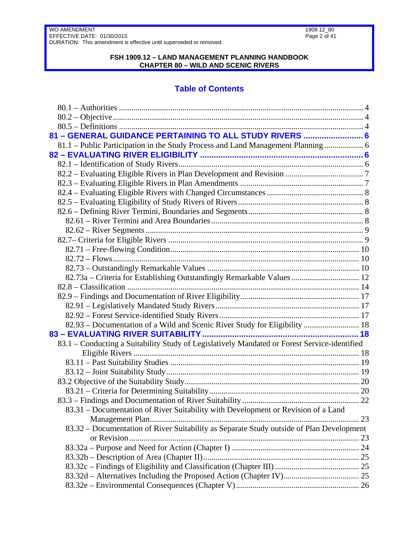### **FSH 1909.12 – LAND MANAGEMENT PLANNING HANDBOOK CHAPTER 80 – WILD AND SCENIC RIVERS**

# **Table of Contents**

| 81 - GENERAL GUIDANCE PERTAINING TO ALL STUDY RIVERS  6                                      |  |
|----------------------------------------------------------------------------------------------|--|
| 81.1 – Public Participation in the Study Process and Land Management Planning  6             |  |
|                                                                                              |  |
|                                                                                              |  |
|                                                                                              |  |
|                                                                                              |  |
|                                                                                              |  |
|                                                                                              |  |
|                                                                                              |  |
|                                                                                              |  |
|                                                                                              |  |
|                                                                                              |  |
|                                                                                              |  |
|                                                                                              |  |
|                                                                                              |  |
| 82.73a - Criteria for Establishing Outstandingly Remarkable Values  12                       |  |
|                                                                                              |  |
|                                                                                              |  |
|                                                                                              |  |
|                                                                                              |  |
| 82.93 – Documentation of a Wild and Scenic River Study for Eligibility  18                   |  |
|                                                                                              |  |
| 83.1 - Conducting a Suitability Study of Legislatively Mandated or Forest Service-identified |  |
|                                                                                              |  |
|                                                                                              |  |
|                                                                                              |  |
|                                                                                              |  |
|                                                                                              |  |
|                                                                                              |  |
| 83.31 – Documentation of River Suitability with Development or Revision of a Land            |  |
|                                                                                              |  |
| 83.32 – Documentation of River Suitability as Separate Study outside of Plan Development     |  |
|                                                                                              |  |
|                                                                                              |  |
|                                                                                              |  |
|                                                                                              |  |
|                                                                                              |  |
|                                                                                              |  |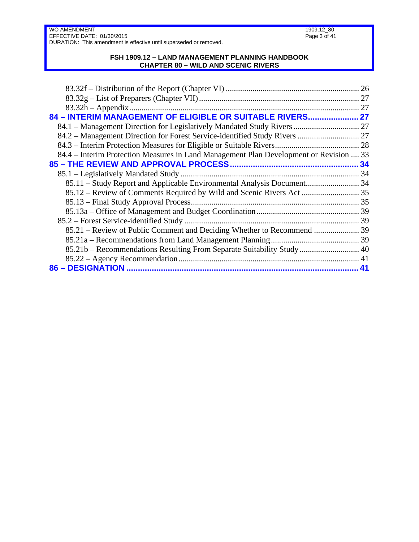#### **FSH 1909.12 – LAND MANAGEMENT PLANNING HANDBOOK CHAPTER 80 – WILD AND SCENIC RIVERS**

| 84 - INTERIM MANAGEMENT OF ELIGIBLE OR SUITABLE RIVERS 27                              |  |
|----------------------------------------------------------------------------------------|--|
|                                                                                        |  |
| 84.2 - Management Direction for Forest Service-identified Study Rivers  27             |  |
|                                                                                        |  |
| 84.4 – Interim Protection Measures in Land Management Plan Development or Revision  33 |  |
|                                                                                        |  |
|                                                                                        |  |
| 85.11 – Study Report and Applicable Environmental Analysis Document 34                 |  |
|                                                                                        |  |
|                                                                                        |  |
|                                                                                        |  |
|                                                                                        |  |
| 85.21 – Review of Public Comment and Deciding Whether to Recommend  39                 |  |
|                                                                                        |  |
| 85.21b – Recommendations Resulting From Separate Suitability Study  40                 |  |
|                                                                                        |  |
|                                                                                        |  |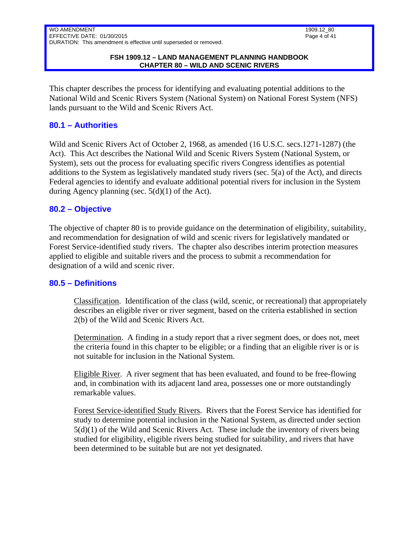This chapter describes the process for identifying and evaluating potential additions to the National Wild and Scenic Rivers System (National System) on National Forest System (NFS) lands pursuant to the Wild and Scenic Rivers Act.

### <span id="page-3-0"></span>**80.1 – Authorities**

Wild and Scenic Rivers Act of October 2, 1968, as amended (16 U.S.C. secs.1271-1287) (the Act). This Act describes the National Wild and Scenic Rivers System (National System, or System), sets out the process for evaluating specific rivers Congress identifies as potential additions to the System as legislatively mandated study rivers (sec. 5(a) of the Act), and directs Federal agencies to identify and evaluate additional potential rivers for inclusion in the System during Agency planning (sec. 5(d)(1) of the Act).

### <span id="page-3-1"></span>**80.2 – Objective**

The objective of chapter 80 is to provide guidance on the determination of eligibility, suitability, and recommendation for designation of wild and scenic rivers for legislatively mandated or Forest Service-identified study rivers. The chapter also describes interim protection measures applied to eligible and suitable rivers and the process to submit a recommendation for designation of a wild and scenic river.

### <span id="page-3-2"></span>**80.5 – Definitions**

Classification. Identification of the class (wild, scenic, or recreational) that appropriately describes an eligible river or river segment, based on the criteria established in section 2(b) of the Wild and Scenic Rivers Act.

Determination. A finding in a study report that a river segment does, or does not, meet the criteria found in this chapter to be eligible; or a finding that an eligible river is or is not suitable for inclusion in the National System.

Eligible River. A river segment that has been evaluated, and found to be free-flowing and, in combination with its adjacent land area, possesses one or more outstandingly remarkable values.

Forest Service-identified Study Rivers. Rivers that the Forest Service has identified for study to determine potential inclusion in the National System, as directed under section  $5(d)(1)$  of the Wild and Scenic Rivers Act. These include the inventory of rivers being studied for eligibility, eligible rivers being studied for suitability, and rivers that have been determined to be suitable but are not yet designated.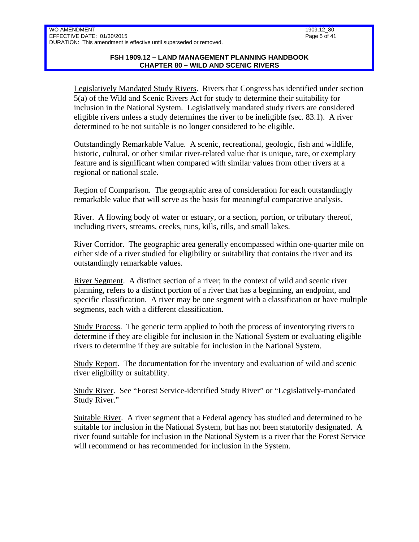Legislatively Mandated Study Rivers. Rivers that Congress has identified under section 5(a) of the Wild and Scenic Rivers Act for study to determine their suitability for inclusion in the National System. Legislatively mandated study rivers are considered eligible rivers unless a study determines the river to be ineligible (sec. 83.1). A river determined to be not suitable is no longer considered to be eligible.

Outstandingly Remarkable Value. A scenic, recreational, geologic, fish and wildlife, historic, cultural, or other similar river-related value that is unique, rare, or exemplary feature and is significant when compared with similar values from other rivers at a regional or national scale.

Region of Comparison. The geographic area of consideration for each outstandingly remarkable value that will serve as the basis for meaningful comparative analysis.

River. A flowing body of water or estuary, or a section, portion, or tributary thereof, including rivers, streams, creeks, runs, kills, rills, and small lakes.

River Corridor. The geographic area generally encompassed within one-quarter mile on either side of a river studied for eligibility or suitability that contains the river and its outstandingly remarkable values.

River Segment. A distinct section of a river; in the context of wild and scenic river planning, refers to a distinct portion of a river that has a beginning, an endpoint, and specific classification. A river may be one segment with a classification or have multiple segments, each with a different classification.

Study Process. The generic term applied to both the process of inventorying rivers to determine if they are eligible for inclusion in the National System or evaluating eligible rivers to determine if they are suitable for inclusion in the National System.

Study Report. The documentation for the inventory and evaluation of wild and scenic river eligibility or suitability.

Study River. See "Forest Service-identified Study River" or "Legislatively-mandated Study River."

Suitable River. A river segment that a Federal agency has studied and determined to be suitable for inclusion in the National System, but has not been statutorily designated. A river found suitable for inclusion in the National System is a river that the Forest Service will recommend or has recommended for inclusion in the System.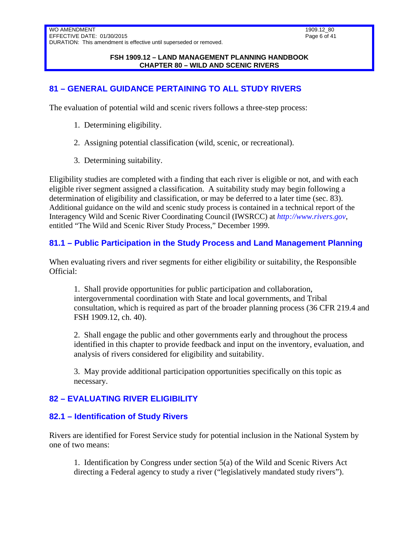#### **FSH 1909.12 – LAND MANAGEMENT PLANNING HANDBOOK CHAPTER 80 – WILD AND SCENIC RIVERS**

# <span id="page-5-0"></span>**81 – GENERAL GUIDANCE PERTAINING TO ALL STUDY RIVERS**

The evaluation of potential wild and scenic rivers follows a three-step process:

- 1. Determining eligibility.
- 2. Assigning potential classification (wild, scenic, or recreational).
- 3. Determining suitability.

Eligibility studies are completed with a finding that each river is eligible or not, and with each eligible river segment assigned a classification. A suitability study may begin following a determination of eligibility and classification, or may be deferred to a later time (sec. 83). Additional guidance on the wild and scenic study process is contained in a technical report of the Interagency Wild and Scenic River Coordinating Council (IWSRCC) at *http://www.rivers.gov*, entitled "The Wild and Scenic River Study Process," December 1999.

## <span id="page-5-1"></span>**81.1 – Public Participation in the Study Process and Land Management Planning**

When evaluating rivers and river segments for either eligibility or suitability, the Responsible Official:

1. Shall provide opportunities for public participation and collaboration, intergovernmental coordination with State and local governments, and Tribal consultation, which is required as part of the broader planning process (36 CFR 219.4 and FSH 1909.12, ch. 40).

2. Shall engage the public and other governments early and throughout the process identified in this chapter to provide feedback and input on the inventory, evaluation, and analysis of rivers considered for eligibility and suitability.

3. May provide additional participation opportunities specifically on this topic as necessary.

### <span id="page-5-3"></span><span id="page-5-2"></span>**82 – EVALUATING RIVER ELIGIBILITY**

### **82.1 – Identification of Study Rivers**

Rivers are identified for Forest Service study for potential inclusion in the National System by one of two means:

1. Identification by Congress under section 5(a) of the Wild and Scenic Rivers Act directing a Federal agency to study a river ("legislatively mandated study rivers").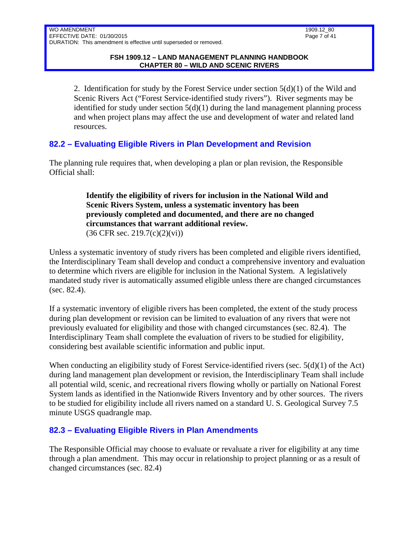2. Identification for study by the Forest Service under section  $5(d)(1)$  of the Wild and Scenic Rivers Act ("Forest Service-identified study rivers"). River segments may be identified for study under section  $5(d)(1)$  during the land management planning process and when project plans may affect the use and development of water and related land resources.

# <span id="page-6-0"></span>**82.2 – Evaluating Eligible Rivers in Plan Development and Revision**

The planning rule requires that, when developing a plan or plan revision, the Responsible Official shall:

### **Identify the eligibility of rivers for inclusion in the National Wild and Scenic Rivers System, unless a systematic inventory has been previously completed and documented, and there are no changed circumstances that warrant additional review.**  (36 CFR sec. 219.7(c)(2)(vi))

Unless a systematic inventory of study rivers has been completed and eligible rivers identified, the Interdisciplinary Team shall develop and conduct a comprehensive inventory and evaluation to determine which rivers are eligible for inclusion in the National System. A legislatively mandated study river is automatically assumed eligible unless there are changed circumstances (sec. 82.4).

If a systematic inventory of eligible rivers has been completed, the extent of the study process during plan development or revision can be limited to evaluation of any rivers that were not previously evaluated for eligibility and those with changed circumstances (sec. 82.4). The Interdisciplinary Team shall complete the evaluation of rivers to be studied for eligibility, considering best available scientific information and public input.

When conducting an eligibility study of Forest Service-identified rivers (sec. 5(d)(1) of the Act) during land management plan development or revision, the Interdisciplinary Team shall include all potential wild, scenic, and recreational rivers flowing wholly or partially on National Forest System lands as identified in the Nationwide Rivers Inventory and by other sources. The rivers to be studied for eligibility include all rivers named on a standard U. S. Geological Survey 7.5 minute USGS quadrangle map.

# <span id="page-6-1"></span>**82.3 – Evaluating Eligible Rivers in Plan Amendments**

The Responsible Official may choose to evaluate or revaluate a river for eligibility at any time through a plan amendment. This may occur in relationship to project planning or as a result of changed circumstances (sec. 82.4)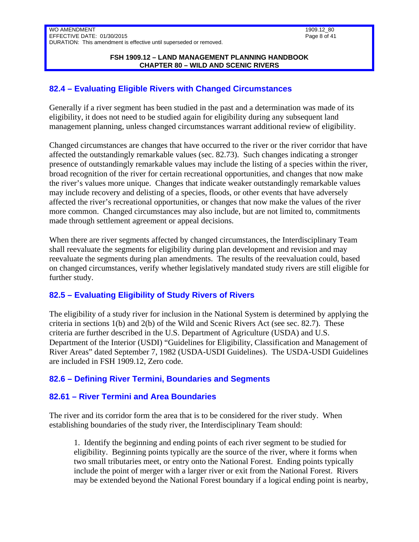## <span id="page-7-0"></span>**82.4 – Evaluating Eligible Rivers with Changed Circumstances**

Generally if a river segment has been studied in the past and a determination was made of its eligibility, it does not need to be studied again for eligibility during any subsequent land management planning, unless changed circumstances warrant additional review of eligibility.

Changed circumstances are changes that have occurred to the river or the river corridor that have affected the outstandingly remarkable values (sec. 82.73). Such changes indicating a stronger presence of outstandingly remarkable values may include the listing of a species within the river, broad recognition of the river for certain recreational opportunities, and changes that now make the river's values more unique. Changes that indicate weaker outstandingly remarkable values may include recovery and delisting of a species, floods, or other events that have adversely affected the river's recreational opportunities, or changes that now make the values of the river more common. Changed circumstances may also include, but are not limited to, commitments made through settlement agreement or appeal decisions.

When there are river segments affected by changed circumstances, the Interdisciplinary Team shall reevaluate the segments for eligibility during plan development and revision and may reevaluate the segments during plan amendments. The results of the reevaluation could, based on changed circumstances, verify whether legislatively mandated study rivers are still eligible for further study.

# <span id="page-7-1"></span>**82.5 – Evaluating Eligibility of Study Rivers of Rivers**

The eligibility of a study river for inclusion in the National System is determined by applying the criteria in sections 1(b) and 2(b) of the Wild and Scenic Rivers Act (see sec. 82.7). These criteria are further described in the U.S. Department of Agriculture (USDA) and U.S. Department of the Interior (USDI) "Guidelines for Eligibility, Classification and Management of River Areas" dated September 7, 1982 (USDA-USDI Guidelines). The USDA-USDI Guidelines are included in FSH 1909.12, Zero code.

# <span id="page-7-2"></span>**82.6 – Defining River Termini, Boundaries and Segments**

# <span id="page-7-3"></span>**82.61 – River Termini and Area Boundaries**

The river and its corridor form the area that is to be considered for the river study. When establishing boundaries of the study river, the Interdisciplinary Team should:

1. Identify the beginning and ending points of each river segment to be studied for eligibility. Beginning points typically are the source of the river, where it forms when two small tributaries meet, or entry onto the National Forest. Ending points typically include the point of merger with a larger river or exit from the National Forest. Rivers may be extended beyond the National Forest boundary if a logical ending point is nearby,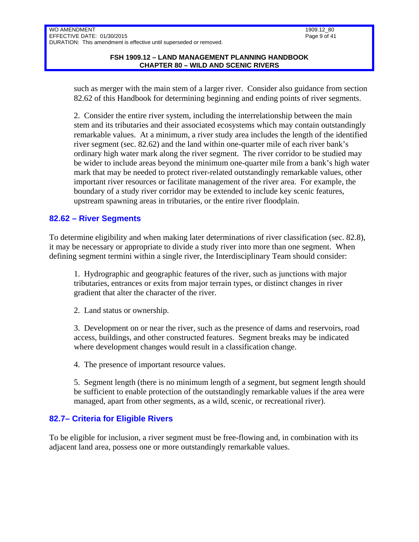such as merger with the main stem of a larger river. Consider also guidance from section 82.62 of this Handbook for determining beginning and ending points of river segments.

2. Consider the entire river system, including the interrelationship between the main stem and its tributaries and their associated ecosystems which may contain outstandingly remarkable values. At a minimum, a river study area includes the length of the identified river segment (sec. 82.62) and the land within one-quarter mile of each river bank's ordinary high water mark along the river segment. The river corridor to be studied may be wider to include areas beyond the minimum one-quarter mile from a bank's high water mark that may be needed to protect river-related outstandingly remarkable values, other important river resources or facilitate management of the river area. For example, the boundary of a study river corridor may be extended to include key scenic features, upstream spawning areas in tributaries, or the entire river floodplain.

### <span id="page-8-0"></span>**82.62 – River Segments**

To determine eligibility and when making later determinations of river classification (sec. 82.8), it may be necessary or appropriate to divide a study river into more than one segment. When defining segment termini within a single river, the Interdisciplinary Team should consider:

1. Hydrographic and geographic features of the river, such as junctions with major tributaries, entrances or exits from major terrain types, or distinct changes in river gradient that alter the character of the river.

2. Land status or ownership.

3. Development on or near the river, such as the presence of dams and reservoirs, road access, buildings, and other constructed features. Segment breaks may be indicated where development changes would result in a classification change.

4. The presence of important resource values.

5. Segment length (there is no minimum length of a segment, but segment length should be sufficient to enable protection of the outstandingly remarkable values if the area were managed, apart from other segments, as a wild, scenic, or recreational river).

### <span id="page-8-1"></span>**82.7– Criteria for Eligible Rivers**

To be eligible for inclusion, a river segment must be free-flowing and, in combination with its adjacent land area, possess one or more outstandingly remarkable values.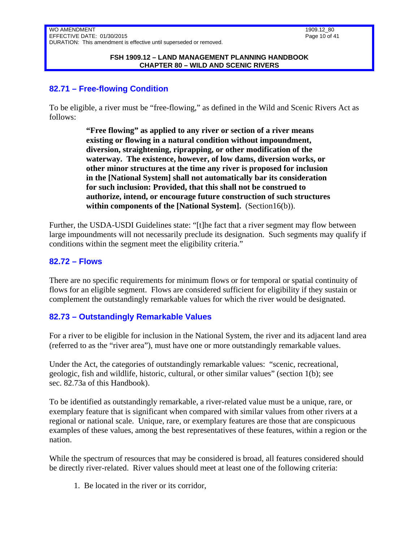## <span id="page-9-0"></span>**82.71 – Free-flowing Condition**

To be eligible, a river must be "free-flowing," as defined in the Wild and Scenic Rivers Act as follows:

> **"Free flowing" as applied to any river or section of a river means existing or flowing in a natural condition without impoundment, diversion, straightening, riprapping, or other modification of the waterway. The existence, however, of low dams, diversion works, or other minor structures at the time any river is proposed for inclusion in the [National System] shall not automatically bar its consideration for such inclusion: Provided, that this shall not be construed to authorize, intend, or encourage future construction of such structures within components of the [National System].** (Section16(b)).

Further, the USDA-USDI Guidelines state: "[t]he fact that a river segment may flow between large impoundments will not necessarily preclude its designation. Such segments may qualify if conditions within the segment meet the eligibility criteria."

### <span id="page-9-1"></span>**82.72 – Flows**

There are no specific requirements for minimum flows or for temporal or spatial continuity of flows for an eligible segment. Flows are considered sufficient for eligibility if they sustain or complement the outstandingly remarkable values for which the river would be designated.

### <span id="page-9-2"></span>**82.73 – Outstandingly Remarkable Values**

For a river to be eligible for inclusion in the National System, the river and its adjacent land area (referred to as the "river area"), must have one or more outstandingly remarkable values.

Under the Act, the categories of outstandingly remarkable values: "scenic, recreational, geologic, fish and wildlife, historic, cultural, or other similar values" (section 1(b); see sec. 82.73a of this Handbook).

To be identified as outstandingly remarkable, a river-related value must be a unique, rare, or exemplary feature that is significant when compared with similar values from other rivers at a regional or national scale. Unique, rare, or exemplary features are those that are conspicuous examples of these values, among the best representatives of these features, within a region or the nation.

While the spectrum of resources that may be considered is broad, all features considered should be directly river-related. River values should meet at least one of the following criteria:

1. Be located in the river or its corridor,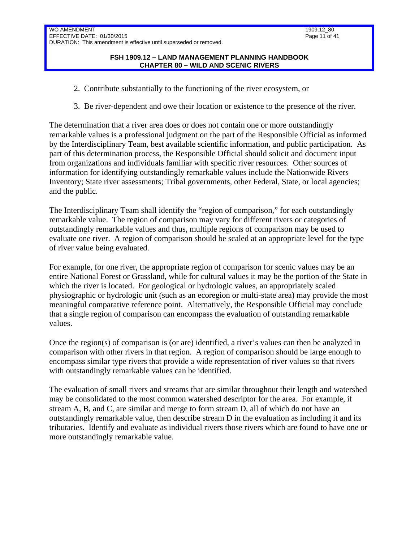- 2. Contribute substantially to the functioning of the river ecosystem, or
- 3. Be river-dependent and owe their location or existence to the presence of the river.

The determination that a river area does or does not contain one or more outstandingly remarkable values is a professional judgment on the part of the Responsible Official as informed by the Interdisciplinary Team, best available scientific information, and public participation. As part of this determination process, the Responsible Official should solicit and document input from organizations and individuals familiar with specific river resources. Other sources of information for identifying outstandingly remarkable values include the Nationwide Rivers Inventory; State river assessments; Tribal governments, other Federal, State, or local agencies; and the public.

The Interdisciplinary Team shall identify the "region of comparison," for each outstandingly remarkable value. The region of comparison may vary for different rivers or categories of outstandingly remarkable values and thus, multiple regions of comparison may be used to evaluate one river. A region of comparison should be scaled at an appropriate level for the type of river value being evaluated.

For example, for one river, the appropriate region of comparison for scenic values may be an entire National Forest or Grassland, while for cultural values it may be the portion of the State in which the river is located. For geological or hydrologic values, an appropriately scaled physiographic or hydrologic unit (such as an ecoregion or multi-state area) may provide the most meaningful comparative reference point. Alternatively, the Responsible Official may conclude that a single region of comparison can encompass the evaluation of outstanding remarkable values.

Once the region(s) of comparison is (or are) identified, a river's values can then be analyzed in comparison with other rivers in that region. A region of comparison should be large enough to encompass similar type rivers that provide a wide representation of river values so that rivers with outstandingly remarkable values can be identified.

The evaluation of small rivers and streams that are similar throughout their length and watershed may be consolidated to the most common watershed descriptor for the area. For example, if stream A, B, and C, are similar and merge to form stream D, all of which do not have an outstandingly remarkable value, then describe stream D in the evaluation as including it and its tributaries. Identify and evaluate as individual rivers those rivers which are found to have one or more outstandingly remarkable value.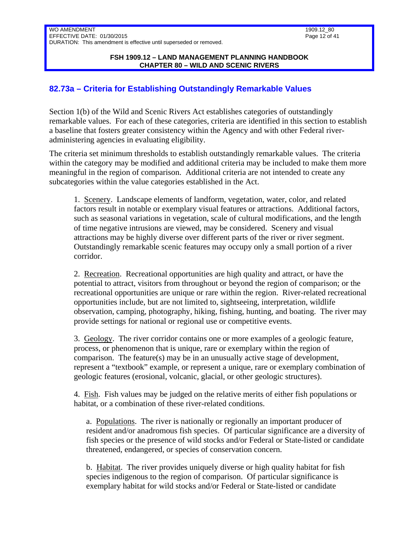#### **FSH 1909.12 – LAND MANAGEMENT PLANNING HANDBOOK CHAPTER 80 – WILD AND SCENIC RIVERS**

## <span id="page-11-0"></span>**82.73a – Criteria for Establishing Outstandingly Remarkable Values**

Section 1(b) of the Wild and Scenic Rivers Act establishes categories of outstandingly remarkable values. For each of these categories, criteria are identified in this section to establish a baseline that fosters greater consistency within the Agency and with other Federal riveradministering agencies in evaluating eligibility.

The criteria set minimum thresholds to establish outstandingly remarkable values. The criteria within the category may be modified and additional criteria may be included to make them more meaningful in the region of comparison. Additional criteria are not intended to create any subcategories within the value categories established in the Act.

1. Scenery. Landscape elements of landform, vegetation, water, color, and related factors result in notable or exemplary visual features or attractions. Additional factors, such as seasonal variations in vegetation, scale of cultural modifications, and the length of time negative intrusions are viewed, may be considered. Scenery and visual attractions may be highly diverse over different parts of the river or river segment. Outstandingly remarkable scenic features may occupy only a small portion of a river corridor.

2. Recreation. Recreational opportunities are high quality and attract, or have the potential to attract, visitors from throughout or beyond the region of comparison; or the recreational opportunities are unique or rare within the region. River-related recreational opportunities include, but are not limited to, sightseeing, interpretation, wildlife observation, camping, photography, hiking, fishing, hunting, and boating. The river may provide settings for national or regional use or competitive events.

3. Geology. The river corridor contains one or more examples of a geologic feature, process, or phenomenon that is unique, rare or exemplary within the region of comparison. The feature(s) may be in an unusually active stage of development, represent a "textbook" example, or represent a unique, rare or exemplary combination of geologic features (erosional, volcanic, glacial, or other geologic structures).

4. Fish. Fish values may be judged on the relative merits of either fish populations or habitat, or a combination of these river-related conditions.

a. Populations. The river is nationally or regionally an important producer of resident and/or anadromous fish species. Of particular significance are a diversity of fish species or the presence of wild stocks and/or Federal or State-listed or candidate threatened, endangered, or species of conservation concern.

b. Habitat. The river provides uniquely diverse or high quality habitat for fish species indigenous to the region of comparison. Of particular significance is exemplary habitat for wild stocks and/or Federal or State-listed or candidate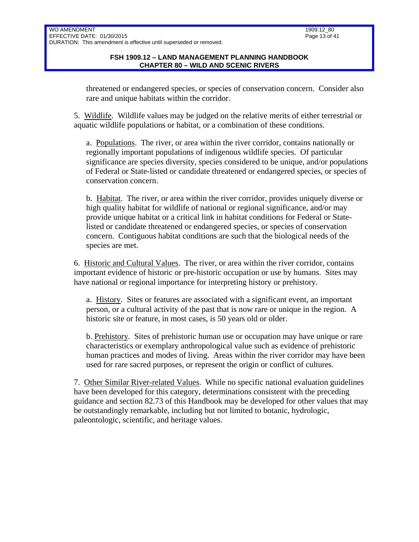threatened or endangered species, or species of conservation concern. Consider also rare and unique habitats within the corridor.

5. Wildlife. Wildlife values may be judged on the relative merits of either terrestrial or aquatic wildlife populations or habitat, or a combination of these conditions.

a. Populations. The river, or area within the river corridor, contains nationally or regionally important populations of indigenous wildlife species. Of particular significance are species diversity, species considered to be unique, and/or populations of Federal or State-listed or candidate threatened or endangered species, or species of conservation concern.

b. Habitat. The river, or area within the river corridor, provides uniquely diverse or high quality habitat for wildlife of national or regional significance, and/or may provide unique habitat or a critical link in habitat conditions for Federal or Statelisted or candidate threatened or endangered species, or species of conservation concern. Contiguous habitat conditions are such that the biological needs of the species are met.

6. Historic and Cultural Values. The river, or area within the river corridor, contains important evidence of historic or pre-historic occupation or use by humans. Sites may have national or regional importance for interpreting history or prehistory.

a. History. Sites or features are associated with a significant event, an important person, or a cultural activity of the past that is now rare or unique in the region. A historic site or feature, in most cases, is 50 years old or older.

b. Prehistory. Sites of prehistoric human use or occupation may have unique or rare characteristics or exemplary anthropological value such as evidence of prehistoric human practices and modes of living. Areas within the river corridor may have been used for rare sacred purposes, or represent the origin or conflict of cultures.

7. Other Similar River-related Values. While no specific national evaluation guidelines have been developed for this category, determinations consistent with the preceding guidance and section 82.73 of this Handbook may be developed for other values that may be outstandingly remarkable, including but not limited to botanic, hydrologic, paleontologic, scientific, and heritage values.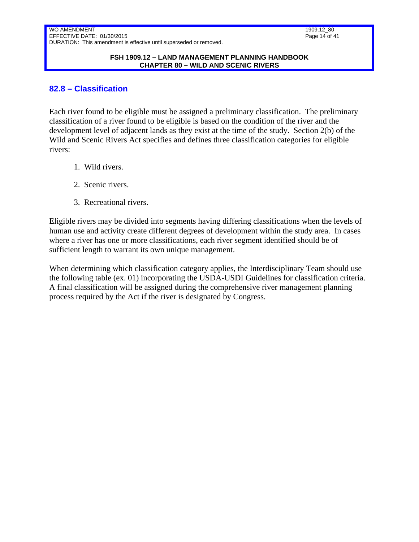#### **FSH 1909.12 – LAND MANAGEMENT PLANNING HANDBOOK CHAPTER 80 – WILD AND SCENIC RIVERS**

### <span id="page-13-0"></span>**82.8 – Classification**

Each river found to be eligible must be assigned a preliminary classification. The preliminary classification of a river found to be eligible is based on the condition of the river and the development level of adjacent lands as they exist at the time of the study. Section 2(b) of the Wild and Scenic Rivers Act specifies and defines three classification categories for eligible rivers:

- 1. Wild rivers.
- 2. Scenic rivers.
- 3. Recreational rivers.

Eligible rivers may be divided into segments having differing classifications when the levels of human use and activity create different degrees of development within the study area. In cases where a river has one or more classifications, each river segment identified should be of sufficient length to warrant its own unique management.

When determining which classification category applies, the Interdisciplinary Team should use the following table (ex. 01) incorporating the USDA-USDI Guidelines for classification criteria. A final classification will be assigned during the comprehensive river management planning process required by the Act if the river is designated by Congress.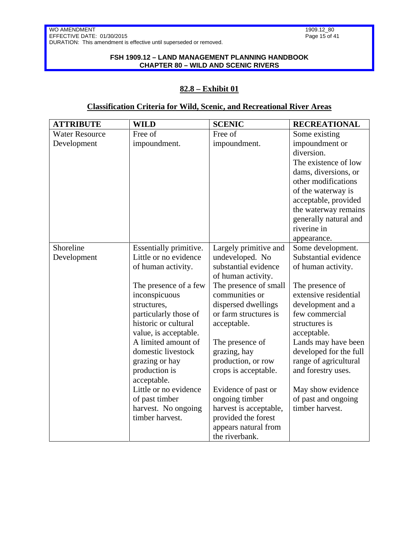#### **FSH 1909.12 – LAND MANAGEMENT PLANNING HANDBOOK CHAPTER 80 – WILD AND SCENIC RIVERS**

## **82.8 – Exhibit 01**

| <b>ATTRIBUTE</b>      | <b>WILD</b>            | <b>SCENIC</b>          | <b>RECREATIONAL</b>    |
|-----------------------|------------------------|------------------------|------------------------|
| <b>Water Resource</b> | Free of                | Free of                | Some existing          |
| Development           | impoundment.           | impoundment.           | impoundment or         |
|                       |                        |                        | diversion.             |
|                       |                        |                        | The existence of low   |
|                       |                        |                        | dams, diversions, or   |
|                       |                        |                        | other modifications    |
|                       |                        |                        | of the waterway is     |
|                       |                        |                        | acceptable, provided   |
|                       |                        |                        | the waterway remains   |
|                       |                        |                        | generally natural and  |
|                       |                        |                        | riverine in            |
|                       |                        |                        | appearance.            |
| Shoreline             | Essentially primitive. | Largely primitive and  | Some development.      |
| Development           | Little or no evidence  | undeveloped. No        | Substantial evidence   |
|                       | of human activity.     | substantial evidence   | of human activity.     |
|                       |                        | of human activity.     |                        |
|                       | The presence of a few  | The presence of small  | The presence of        |
|                       | inconspicuous          | communities or         | extensive residential  |
|                       | structures,            | dispersed dwellings    | development and a      |
|                       | particularly those of  | or farm structures is  | few commercial         |
|                       | historic or cultural   | acceptable.            | structures is          |
|                       | value, is acceptable.  |                        | acceptable.            |
|                       | A limited amount of    | The presence of        | Lands may have been    |
|                       | domestic livestock     | grazing, hay           | developed for the full |
|                       | grazing or hay         | production, or row     | range of agricultural  |
|                       | production is          | crops is acceptable.   | and forestry uses.     |
|                       | acceptable.            |                        |                        |
|                       | Little or no evidence  | Evidence of past or    | May show evidence      |
|                       | of past timber         | ongoing timber         | of past and ongoing    |
|                       | harvest. No ongoing    | harvest is acceptable, | timber harvest.        |
|                       | timber harvest.        | provided the forest    |                        |
|                       |                        | appears natural from   |                        |
|                       |                        | the riverbank.         |                        |

## **Classification Criteria for Wild, Scenic, and Recreational River Areas**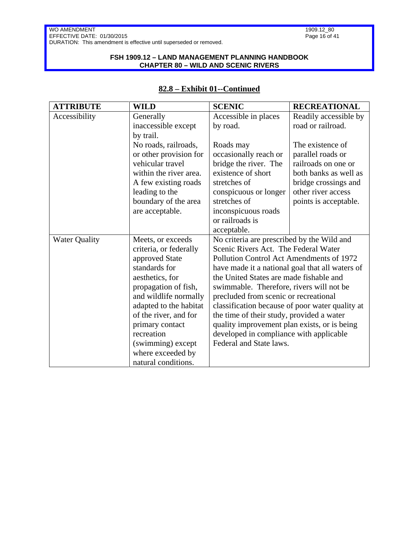### **FSH 1909.12 – LAND MANAGEMENT PLANNING HANDBOOK CHAPTER 80 – WILD AND SCENIC RIVERS**

### **82.8 – Exhibit 01--Continued**

| <b>ATTRIBUTE</b>       | <b>WILD</b>            | <b>SCENIC</b>                                                                                                                                                                     | <b>RECREATIONAL</b>                     |  |
|------------------------|------------------------|-----------------------------------------------------------------------------------------------------------------------------------------------------------------------------------|-----------------------------------------|--|
| Accessibility          | Generally              | Accessible in places                                                                                                                                                              | Readily accessible by                   |  |
|                        | inaccessible except    | by road.                                                                                                                                                                          | road or railroad.                       |  |
|                        | by trail.              |                                                                                                                                                                                   |                                         |  |
|                        | No roads, railroads,   | Roads may                                                                                                                                                                         | The existence of                        |  |
|                        | or other provision for | occasionally reach or                                                                                                                                                             | parallel roads or                       |  |
|                        | vehicular travel       | bridge the river. The                                                                                                                                                             | railroads on one or                     |  |
|                        | within the river area. | existence of short                                                                                                                                                                | both banks as well as                   |  |
|                        | A few existing roads   | stretches of                                                                                                                                                                      | bridge crossings and                    |  |
|                        | leading to the         | conspicuous or longer                                                                                                                                                             | other river access                      |  |
|                        | boundary of the area   | stretches of                                                                                                                                                                      | points is acceptable.                   |  |
|                        | are acceptable.        | inconspicuous roads                                                                                                                                                               |                                         |  |
|                        |                        | or railroads is                                                                                                                                                                   |                                         |  |
|                        |                        | acceptable.                                                                                                                                                                       |                                         |  |
| <b>Water Quality</b>   | Meets, or exceeds      | No criteria are prescribed by the Wild and<br>Scenic Rivers Act. The Federal Water<br>Pollution Control Act Amendments of 1972<br>have made it a national goal that all waters of |                                         |  |
|                        | criteria, or federally |                                                                                                                                                                                   |                                         |  |
|                        | approved State         |                                                                                                                                                                                   |                                         |  |
|                        | standards for          |                                                                                                                                                                                   |                                         |  |
|                        | aesthetics, for        |                                                                                                                                                                                   | the United States are made fishable and |  |
|                        | propagation of fish,   | swimmable. Therefore, rivers will not be<br>precluded from scenic or recreational                                                                                                 |                                         |  |
|                        | and wildlife normally  |                                                                                                                                                                                   |                                         |  |
| adapted to the habitat |                        | classification because of poor water quality at                                                                                                                                   |                                         |  |
|                        | of the river, and for  | the time of their study, provided a water                                                                                                                                         |                                         |  |
|                        | primary contact        | quality improvement plan exists, or is being                                                                                                                                      |                                         |  |
|                        | recreation             | developed in compliance with applicable                                                                                                                                           |                                         |  |
|                        | (swimming) except      | Federal and State laws.                                                                                                                                                           |                                         |  |
|                        | where exceeded by      |                                                                                                                                                                                   |                                         |  |
|                        | natural conditions.    |                                                                                                                                                                                   |                                         |  |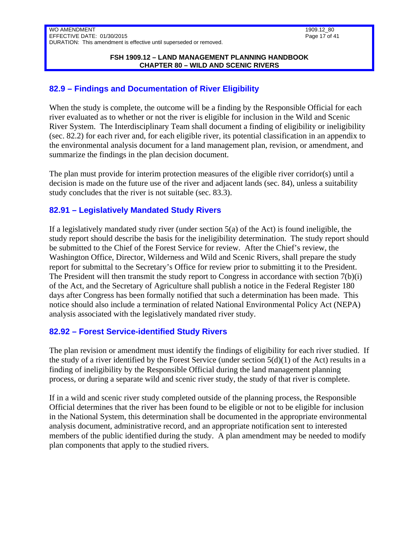#### **FSH 1909.12 – LAND MANAGEMENT PLANNING HANDBOOK CHAPTER 80 – WILD AND SCENIC RIVERS**

## <span id="page-16-0"></span>**82.9 – Findings and Documentation of River Eligibility**

When the study is complete, the outcome will be a finding by the Responsible Official for each river evaluated as to whether or not the river is eligible for inclusion in the Wild and Scenic River System. The Interdisciplinary Team shall document a finding of eligibility or ineligibility (sec. 82.2) for each river and, for each eligible river, its potential classification in an appendix to the environmental analysis document for a land management plan, revision, or amendment, and summarize the findings in the plan decision document.

The plan must provide for interim protection measures of the eligible river corridor(s) until a decision is made on the future use of the river and adjacent lands (sec. 84), unless a suitability study concludes that the river is not suitable (sec. 83.3).

# <span id="page-16-1"></span>**82.91 – Legislatively Mandated Study Rivers**

If a legislatively mandated study river (under section 5(a) of the Act) is found ineligible, the study report should describe the basis for the ineligibility determination. The study report should be submitted to the Chief of the Forest Service for review. After the Chief's review, the Washington Office, Director, Wilderness and Wild and Scenic Rivers, shall prepare the study report for submittal to the Secretary's Office for review prior to submitting it to the President. The President will then transmit the study report to Congress in accordance with section 7(b)(i) of the Act, and the Secretary of Agriculture shall publish a notice in the Federal Register 180 days after Congress has been formally notified that such a determination has been made. This notice should also include a termination of related National Environmental Policy Act (NEPA) analysis associated with the legislatively mandated river study.

### <span id="page-16-2"></span>**82.92 – Forest Service-identified Study Rivers**

The plan revision or amendment must identify the findings of eligibility for each river studied. If the study of a river identified by the Forest Service (under section  $5(d)(1)$  of the Act) results in a finding of ineligibility by the Responsible Official during the land management planning process, or during a separate wild and scenic river study, the study of that river is complete.

If in a wild and scenic river study completed outside of the planning process, the Responsible Official determines that the river has been found to be eligible or not to be eligible for inclusion in the National System, this determination shall be documented in the appropriate environmental analysis document, administrative record, and an appropriate notification sent to interested members of the public identified during the study. A plan amendment may be needed to modify plan components that apply to the studied rivers.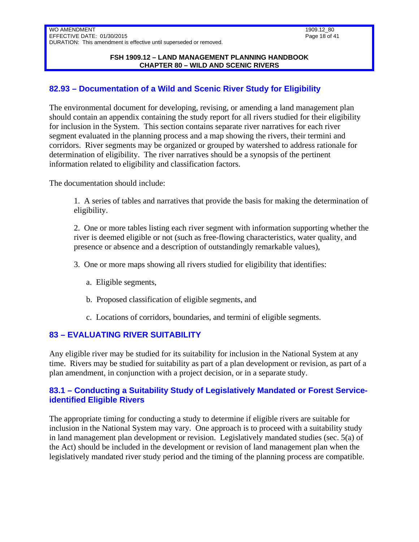#### **FSH 1909.12 – LAND MANAGEMENT PLANNING HANDBOOK CHAPTER 80 – WILD AND SCENIC RIVERS**

## <span id="page-17-0"></span>**82.93 – Documentation of a Wild and Scenic River Study for Eligibility**

The environmental document for developing, revising, or amending a land management plan should contain an appendix containing the study report for all rivers studied for their eligibility for inclusion in the System. This section contains separate river narratives for each river segment evaluated in the planning process and a map showing the rivers, their termini and corridors. River segments may be organized or grouped by watershed to address rationale for determination of eligibility. The river narratives should be a synopsis of the pertinent information related to eligibility and classification factors.

The documentation should include:

1. A series of tables and narratives that provide the basis for making the determination of eligibility.

2. One or more tables listing each river segment with information supporting whether the river is deemed eligible or not (such as free-flowing characteristics, water quality, and presence or absence and a description of outstandingly remarkable values),

- 3. One or more maps showing all rivers studied for eligibility that identifies:
	- a. Eligible segments,
	- b. Proposed classification of eligible segments, and
	- c. Locations of corridors, boundaries, and termini of eligible segments.

### <span id="page-17-1"></span>**83 – EVALUATING RIVER SUITABILITY**

Any eligible river may be studied for its suitability for inclusion in the National System at any time. Rivers may be studied for suitability as part of a plan development or revision, as part of a plan amendment, in conjunction with a project decision, or in a separate study.

### <span id="page-17-2"></span>**83.1 – Conducting a Suitability Study of Legislatively Mandated or Forest Serviceidentified Eligible Rivers**

The appropriate timing for conducting a study to determine if eligible rivers are suitable for inclusion in the National System may vary. One approach is to proceed with a suitability study in land management plan development or revision. Legislatively mandated studies (sec. 5(a) of the Act) should be included in the development or revision of land management plan when the legislatively mandated river study period and the timing of the planning process are compatible.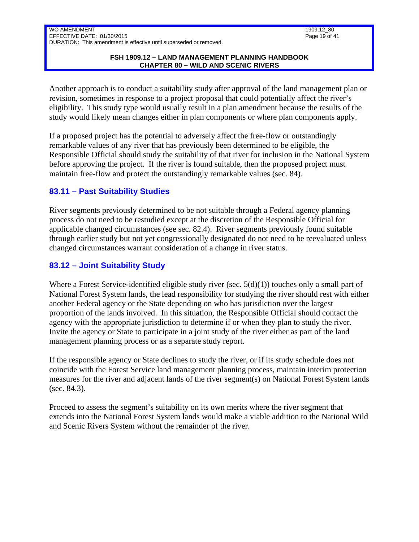### **FSH 1909.12 – LAND MANAGEMENT PLANNING HANDBOOK CHAPTER 80 – WILD AND SCENIC RIVERS**

Another approach is to conduct a suitability study after approval of the land management plan or revision, sometimes in response to a project proposal that could potentially affect the river's eligibility. This study type would usually result in a plan amendment because the results of the study would likely mean changes either in plan components or where plan components apply.

If a proposed project has the potential to adversely affect the free-flow or outstandingly remarkable values of any river that has previously been determined to be eligible, the Responsible Official should study the suitability of that river for inclusion in the National System before approving the project. If the river is found suitable, then the proposed project must maintain free-flow and protect the outstandingly remarkable values (sec. 84).

## <span id="page-18-0"></span>**83.11 – Past Suitability Studies**

River segments previously determined to be not suitable through a Federal agency planning process do not need to be restudied except at the discretion of the Responsible Official for applicable changed circumstances (see sec. 82.4). River segments previously found suitable through earlier study but not yet congressionally designated do not need to be reevaluated unless changed circumstances warrant consideration of a change in river status.

# <span id="page-18-1"></span>**83.12 – Joint Suitability Study**

Where a Forest Service-identified eligible study river (sec.  $5(d)(1)$ ) touches only a small part of National Forest System lands, the lead responsibility for studying the river should rest with either another Federal agency or the State depending on who has jurisdiction over the largest proportion of the lands involved. In this situation, the Responsible Official should contact the agency with the appropriate jurisdiction to determine if or when they plan to study the river. Invite the agency or State to participate in a joint study of the river either as part of the land management planning process or as a separate study report.

If the responsible agency or State declines to study the river, or if its study schedule does not coincide with the Forest Service land management planning process, maintain interim protection measures for the river and adjacent lands of the river segment(s) on National Forest System lands (sec. 84.3).

Proceed to assess the segment's suitability on its own merits where the river segment that extends into the National Forest System lands would make a viable addition to the National Wild and Scenic Rivers System without the remainder of the river.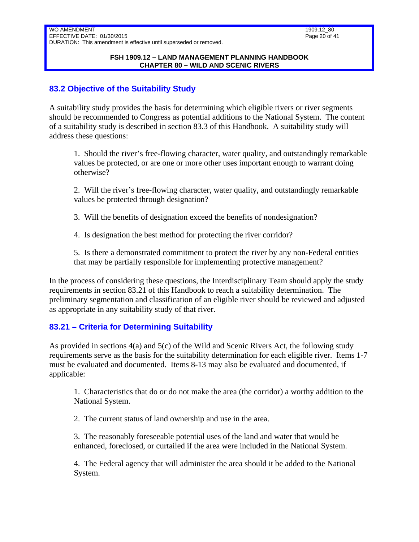## <span id="page-19-0"></span>**83.2 Objective of the Suitability Study**

A suitability study provides the basis for determining which eligible rivers or river segments should be recommended to Congress as potential additions to the National System. The content of a suitability study is described in section 83.3 of this Handbook. A suitability study will address these questions:

1. Should the river's free-flowing character, water quality, and outstandingly remarkable values be protected, or are one or more other uses important enough to warrant doing otherwise?

2. Will the river's free-flowing character, water quality, and outstandingly remarkable values be protected through designation?

- 3. Will the benefits of designation exceed the benefits of nondesignation?
- 4. Is designation the best method for protecting the river corridor?

5. Is there a demonstrated commitment to protect the river by any non-Federal entities that may be partially responsible for implementing protective management?

In the process of considering these questions, the Interdisciplinary Team should apply the study requirements in section 83.21 of this Handbook to reach a suitability determination. The preliminary segmentation and classification of an eligible river should be reviewed and adjusted as appropriate in any suitability study of that river.

### <span id="page-19-1"></span>**83.21 – Criteria for Determining Suitability**

As provided in sections 4(a) and 5(c) of the Wild and Scenic Rivers Act, the following study requirements serve as the basis for the suitability determination for each eligible river. Items 1-7 must be evaluated and documented. Items 8-13 may also be evaluated and documented, if applicable:

1. Characteristics that do or do not make the area (the corridor) a worthy addition to the National System.

2. The current status of land ownership and use in the area.

3. The reasonably foreseeable potential uses of the land and water that would be enhanced, foreclosed, or curtailed if the area were included in the National System.

4. The Federal agency that will administer the area should it be added to the National System.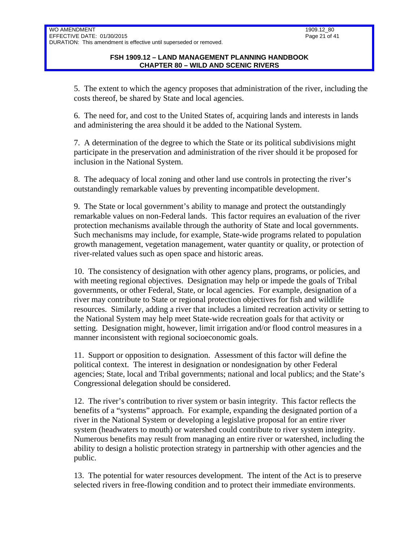5. The extent to which the agency proposes that administration of the river, including the costs thereof, be shared by State and local agencies.

6. The need for, and cost to the United States of, acquiring lands and interests in lands and administering the area should it be added to the National System.

7. A determination of the degree to which the State or its political subdivisions might participate in the preservation and administration of the river should it be proposed for inclusion in the National System.

8. The adequacy of local zoning and other land use controls in protecting the river's outstandingly remarkable values by preventing incompatible development.

9. The State or local government's ability to manage and protect the outstandingly remarkable values on non-Federal lands. This factor requires an evaluation of the river protection mechanisms available through the authority of State and local governments. Such mechanisms may include, for example, State-wide programs related to population growth management, vegetation management, water quantity or quality, or protection of river-related values such as open space and historic areas.

10. The consistency of designation with other agency plans, programs, or policies, and with meeting regional objectives. Designation may help or impede the goals of Tribal governments, or other Federal, State, or local agencies. For example, designation of a river may contribute to State or regional protection objectives for fish and wildlife resources. Similarly, adding a river that includes a limited recreation activity or setting to the National System may help meet State-wide recreation goals for that activity or setting. Designation might, however, limit irrigation and/or flood control measures in a manner inconsistent with regional socioeconomic goals.

11. Support or opposition to designation. Assessment of this factor will define the political context. The interest in designation or nondesignation by other Federal agencies; State, local and Tribal governments; national and local publics; and the State's Congressional delegation should be considered.

12. The river's contribution to river system or basin integrity. This factor reflects the benefits of a "systems" approach. For example, expanding the designated portion of a river in the National System or developing a legislative proposal for an entire river system (headwaters to mouth) or watershed could contribute to river system integrity. Numerous benefits may result from managing an entire river or watershed, including the ability to design a holistic protection strategy in partnership with other agencies and the public.

13. The potential for water resources development. The intent of the Act is to preserve selected rivers in free-flowing condition and to protect their immediate environments.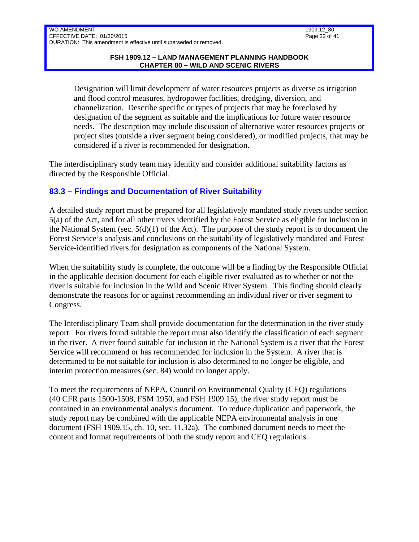Designation will limit development of water resources projects as diverse as irrigation and flood control measures, hydropower facilities, dredging, diversion, and channelization. Describe specific or types of projects that may be foreclosed by designation of the segment as suitable and the implications for future water resource needs. The description may include discussion of alternative water resources projects or project sites (outside a river segment being considered), or modified projects, that may be considered if a river is recommended for designation.

The interdisciplinary study team may identify and consider additional suitability factors as directed by the Responsible Official.

# <span id="page-21-0"></span>**83.3 – Findings and Documentation of River Suitability**

A detailed study report must be prepared for all legislatively mandated study rivers under section 5(a) of the Act, and for all other rivers identified by the Forest Service as eligible for inclusion in the National System (sec.  $5(d)(1)$  of the Act). The purpose of the study report is to document the Forest Service's analysis and conclusions on the suitability of legislatively mandated and Forest Service-identified rivers for designation as components of the National System.

When the suitability study is complete, the outcome will be a finding by the Responsible Official in the applicable decision document for each eligible river evaluated as to whether or not the river is suitable for inclusion in the Wild and Scenic River System. This finding should clearly demonstrate the reasons for or against recommending an individual river or river segment to Congress.

The Interdisciplinary Team shall provide documentation for the determination in the river study report. For rivers found suitable the report must also identify the classification of each segment in the river. A river found suitable for inclusion in the National System is a river that the Forest Service will recommend or has recommended for inclusion in the System. A river that is determined to be not suitable for inclusion is also determined to no longer be eligible, and interim protection measures (sec. 84) would no longer apply.

To meet the requirements of NEPA, Council on Environmental Quality (CEQ) regulations (40 CFR parts 1500-1508, FSM 1950, and FSH 1909.15), the river study report must be contained in an environmental analysis document. To reduce duplication and paperwork, the study report may be combined with the applicable NEPA environmental analysis in one document (FSH 1909.15, ch. 10, sec. 11.32a). The combined document needs to meet the content and format requirements of both the study report and CEQ regulations.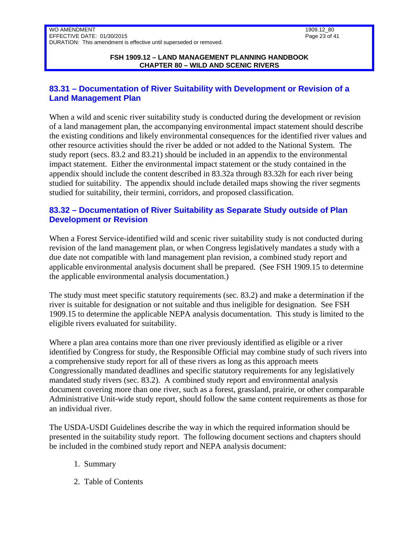## <span id="page-22-0"></span>**83.31 – Documentation of River Suitability with Development or Revision of a Land Management Plan**

When a wild and scenic river suitability study is conducted during the development or revision of a land management plan, the accompanying environmental impact statement should describe the existing conditions and likely environmental consequences for the identified river values and other resource activities should the river be added or not added to the National System. The study report (secs. 83.2 and 83.21) should be included in an appendix to the environmental impact statement. Either the environmental impact statement or the study contained in the appendix should include the content described in 83.32a through 83.32h for each river being studied for suitability. The appendix should include detailed maps showing the river segments studied for suitability, their termini, corridors, and proposed classification.

## <span id="page-22-1"></span>**83.32 – Documentation of River Suitability as Separate Study outside of Plan Development or Revision**

When a Forest Service-identified wild and scenic river suitability study is not conducted during revision of the land management plan, or when Congress legislatively mandates a study with a due date not compatible with land management plan revision, a combined study report and applicable environmental analysis document shall be prepared. (See FSH 1909.15 to determine the applicable environmental analysis documentation.)

The study must meet specific statutory requirements (sec. 83.2) and make a determination if the river is suitable for designation or not suitable and thus ineligible for designation. See FSH 1909.15 to determine the applicable NEPA analysis documentation. This study is limited to the eligible rivers evaluated for suitability.

Where a plan area contains more than one river previously identified as eligible or a river identified by Congress for study, the Responsible Official may combine study of such rivers into a comprehensive study report for all of these rivers as long as this approach meets Congressionally mandated deadlines and specific statutory requirements for any legislatively mandated study rivers (sec. 83.2). A combined study report and environmental analysis document covering more than one river, such as a forest, grassland, prairie, or other comparable Administrative Unit-wide study report, should follow the same content requirements as those for an individual river.

The USDA-USDI Guidelines describe the way in which the required information should be presented in the suitability study report. The following document sections and chapters should be included in the combined study report and NEPA analysis document:

- 1. Summary
- 2. Table of Contents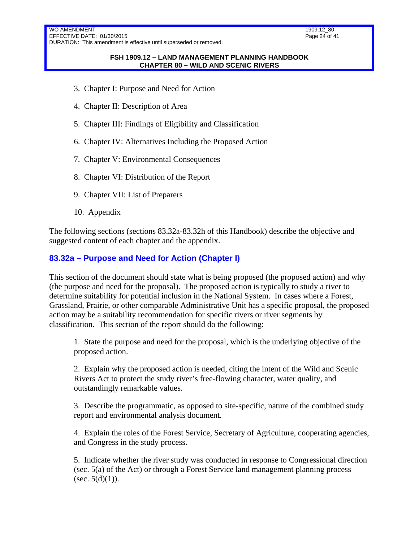#### **FSH 1909.12 – LAND MANAGEMENT PLANNING HANDBOOK CHAPTER 80 – WILD AND SCENIC RIVERS**

- 3. Chapter I: Purpose and Need for Action
- 4. Chapter II: Description of Area
- 5. Chapter III: Findings of Eligibility and Classification
- 6. Chapter IV: Alternatives Including the Proposed Action
- 7. Chapter V: Environmental Consequences
- 8. Chapter VI: Distribution of the Report
- 9. Chapter VII: List of Preparers
- 10. Appendix

The following sections (sections 83.32a-83.32h of this Handbook) describe the objective and suggested content of each chapter and the appendix.

### <span id="page-23-0"></span>**83.32a – Purpose and Need for Action (Chapter I)**

This section of the document should state what is being proposed (the proposed action) and why (the purpose and need for the proposal). The proposed action is typically to study a river to determine suitability for potential inclusion in the National System. In cases where a Forest, Grassland, Prairie, or other comparable Administrative Unit has a specific proposal, the proposed action may be a suitability recommendation for specific rivers or river segments by classification. This section of the report should do the following:

1. State the purpose and need for the proposal, which is the underlying objective of the proposed action.

2. Explain why the proposed action is needed, citing the intent of the Wild and Scenic Rivers Act to protect the study river's free-flowing character, water quality, and outstandingly remarkable values.

3. Describe the programmatic, as opposed to site-specific, nature of the combined study report and environmental analysis document.

4. Explain the roles of the Forest Service, Secretary of Agriculture, cooperating agencies, and Congress in the study process.

5. Indicate whether the river study was conducted in response to Congressional direction (sec. 5(a) of the Act) or through a Forest Service land management planning process (sec.  $5(d)(1)$ ).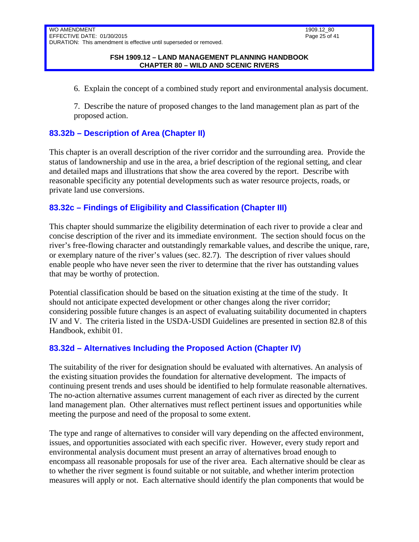6. Explain the concept of a combined study report and environmental analysis document.

7. Describe the nature of proposed changes to the land management plan as part of the proposed action.

## <span id="page-24-0"></span>**83.32b – Description of Area (Chapter II)**

This chapter is an overall description of the river corridor and the surrounding area. Provide the status of landownership and use in the area, a brief description of the regional setting, and clear and detailed maps and illustrations that show the area covered by the report. Describe with reasonable specificity any potential developments such as water resource projects, roads, or private land use conversions.

## <span id="page-24-1"></span>**83.32c – Findings of Eligibility and Classification (Chapter III)**

This chapter should summarize the eligibility determination of each river to provide a clear and concise description of the river and its immediate environment. The section should focus on the river's free-flowing character and outstandingly remarkable values, and describe the unique, rare, or exemplary nature of the river's values (sec. 82.7). The description of river values should enable people who have never seen the river to determine that the river has outstanding values that may be worthy of protection.

Potential classification should be based on the situation existing at the time of the study. It should not anticipate expected development or other changes along the river corridor; considering possible future changes is an aspect of evaluating suitability documented in chapters IV and V. The criteria listed in the USDA-USDI Guidelines are presented in section 82.8 of this Handbook, exhibit 01.

### <span id="page-24-2"></span>**83.32d – Alternatives Including the Proposed Action (Chapter IV)**

The suitability of the river for designation should be evaluated with alternatives. An analysis of the existing situation provides the foundation for alternative development. The impacts of continuing present trends and uses should be identified to help formulate reasonable alternatives. The no-action alternative assumes current management of each river as directed by the current land management plan. Other alternatives must reflect pertinent issues and opportunities while meeting the purpose and need of the proposal to some extent.

The type and range of alternatives to consider will vary depending on the affected environment, issues, and opportunities associated with each specific river. However, every study report and environmental analysis document must present an array of alternatives broad enough to encompass all reasonable proposals for use of the river area. Each alternative should be clear as to whether the river segment is found suitable or not suitable, and whether interim protection measures will apply or not. Each alternative should identify the plan components that would be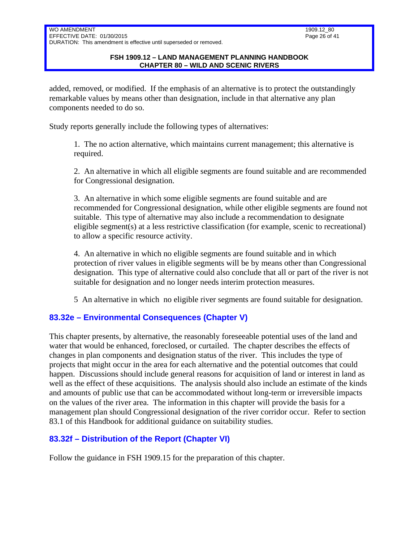added, removed, or modified. If the emphasis of an alternative is to protect the outstandingly remarkable values by means other than designation, include in that alternative any plan components needed to do so.

Study reports generally include the following types of alternatives:

1. The no action alternative, which maintains current management; this alternative is required.

2. An alternative in which all eligible segments are found suitable and are recommended for Congressional designation.

3. An alternative in which some eligible segments are found suitable and are recommended for Congressional designation, while other eligible segments are found not suitable. This type of alternative may also include a recommendation to designate eligible segment(s) at a less restrictive classification (for example, scenic to recreational) to allow a specific resource activity.

4. An alternative in which no eligible segments are found suitable and in which protection of river values in eligible segments will be by means other than Congressional designation. This type of alternative could also conclude that all or part of the river is not suitable for designation and no longer needs interim protection measures.

5 An alternative in which no eligible river segments are found suitable for designation.

# <span id="page-25-0"></span>**83.32e – Environmental Consequences (Chapter V)**

This chapter presents, by alternative, the reasonably foreseeable potential uses of the land and water that would be enhanced, foreclosed, or curtailed. The chapter describes the effects of changes in plan components and designation status of the river. This includes the type of projects that might occur in the area for each alternative and the potential outcomes that could happen. Discussions should include general reasons for acquisition of land or interest in land as well as the effect of these acquisitions. The analysis should also include an estimate of the kinds and amounts of public use that can be accommodated without long-term or irreversible impacts on the values of the river area. The information in this chapter will provide the basis for a management plan should Congressional designation of the river corridor occur. Refer to section 83.1 of this Handbook for additional guidance on suitability studies.

# <span id="page-25-1"></span>**83.32f – Distribution of the Report (Chapter VI)**

Follow the guidance in FSH 1909.15 for the preparation of this chapter.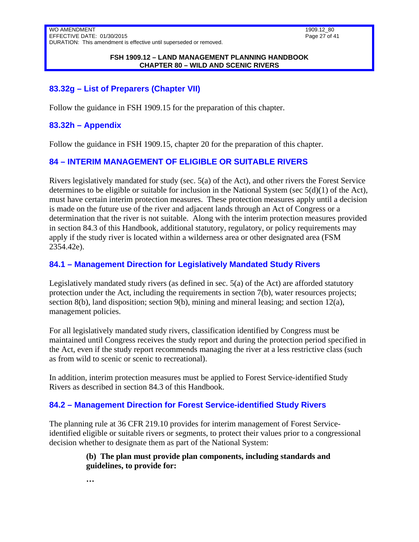1909.12\_80 Page 27 of 41

#### **FSH 1909.12 – LAND MANAGEMENT PLANNING HANDBOOK CHAPTER 80 – WILD AND SCENIC RIVERS**

## <span id="page-26-0"></span>**83.32g – List of Preparers (Chapter VII)**

<span id="page-26-1"></span>Follow the guidance in FSH 1909.15 for the preparation of this chapter.

### **83.32h – Appendix**

<span id="page-26-2"></span>Follow the guidance in FSH 1909.15, chapter 20 for the preparation of this chapter.

## **84 – INTERIM MANAGEMENT OF ELIGIBLE OR SUITABLE RIVERS**

Rivers legislatively mandated for study (sec. 5(a) of the Act), and other rivers the Forest Service determines to be eligible or suitable for inclusion in the National System (sec  $5(d)(1)$  of the Act), must have certain interim protection measures. These protection measures apply until a decision is made on the future use of the river and adjacent lands through an Act of Congress or a determination that the river is not suitable. Along with the interim protection measures provided in section 84.3 of this Handbook, additional statutory, regulatory, or policy requirements may apply if the study river is located within a wilderness area or other designated area (FSM 2354.42e).

### <span id="page-26-3"></span>**84.1 – Management Direction for Legislatively Mandated Study Rivers**

Legislatively mandated study rivers (as defined in sec.  $5(a)$  of the Act) are afforded statutory protection under the Act, including the requirements in section 7(b), water resources projects; section 8(b), land disposition; section 9(b), mining and mineral leasing; and section  $12(a)$ , management policies.

For all legislatively mandated study rivers, classification identified by Congress must be maintained until Congress receives the study report and during the protection period specified in the Act, even if the study report recommends managing the river at a less restrictive class (such as from wild to scenic or scenic to recreational).

In addition, interim protection measures must be applied to Forest Service-identified Study Rivers as described in section 84.3 of this Handbook.

### <span id="page-26-4"></span>**84.2 – Management Direction for Forest Service-identified Study Rivers**

The planning rule at 36 CFR 219.10 provides for interim management of Forest Serviceidentified eligible or suitable rivers or segments, to protect their values prior to a congressional decision whether to designate them as part of the National System:

### **(b) The plan must provide plan components, including standards and guidelines, to provide for:**

**…**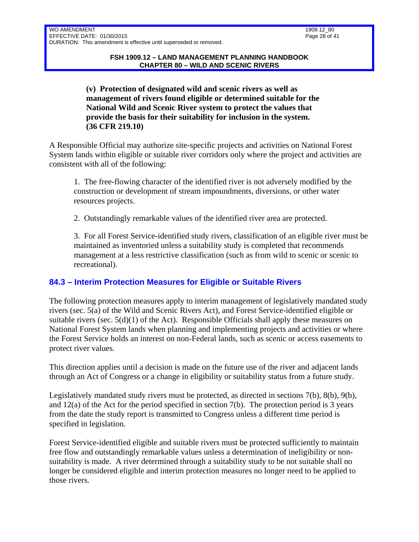**(v) Protection of designated wild and scenic rivers as well as management of rivers found eligible or determined suitable for the National Wild and Scenic River system to protect the values that provide the basis for their suitability for inclusion in the system. (36 CFR 219.10)** 

A Responsible Official may authorize site-specific projects and activities on National Forest System lands within eligible or suitable river corridors only where the project and activities are consistent with all of the following:

1. The free-flowing character of the identified river is not adversely modified by the construction or development of stream impoundments, diversions, or other water resources projects.

2. Outstandingly remarkable values of the identified river area are protected.

3. For all Forest Service-identified study rivers, classification of an eligible river must be maintained as inventoried unless a suitability study is completed that recommends management at a less restrictive classification (such as from wild to scenic or scenic to recreational).

# <span id="page-27-0"></span>**84.3 – Interim Protection Measures for Eligible or Suitable Rivers**

The following protection measures apply to interim management of legislatively mandated study rivers (sec. 5(a) of the Wild and Scenic Rivers Act), and Forest Service-identified eligible or suitable rivers (sec.  $5(d)(1)$  of the Act). Responsible Officials shall apply these measures on National Forest System lands when planning and implementing projects and activities or where the Forest Service holds an interest on non-Federal lands, such as scenic or access easements to protect river values.

This direction applies until a decision is made on the future use of the river and adjacent lands through an Act of Congress or a change in eligibility or suitability status from a future study.

Legislatively mandated study rivers must be protected, as directed in sections 7(b), 8(b), 9(b), and 12(a) of the Act for the period specified in section 7(b). The protection period is 3 years from the date the study report is transmitted to Congress unless a different time period is specified in legislation.

Forest Service-identified eligible and suitable rivers must be protected sufficiently to maintain free flow and outstandingly remarkable values unless a determination of ineligibility or nonsuitability is made. A river determined through a suitability study to be not suitable shall no longer be considered eligible and interim protection measures no longer need to be applied to those rivers.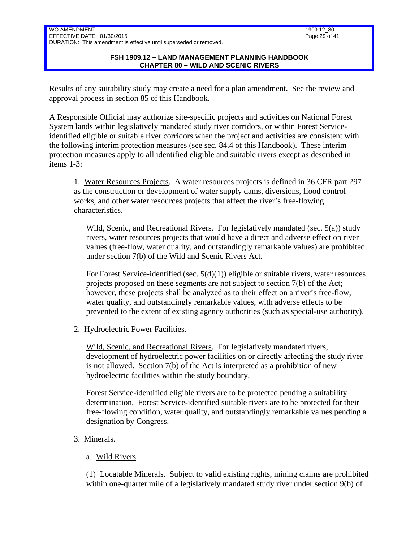### **FSH 1909.12 – LAND MANAGEMENT PLANNING HANDBOOK CHAPTER 80 – WILD AND SCENIC RIVERS**

Results of any suitability study may create a need for a plan amendment. See the review and approval process in section 85 of this Handbook.

A Responsible Official may authorize site-specific projects and activities on National Forest System lands within legislatively mandated study river corridors, or within Forest Serviceidentified eligible or suitable river corridors when the project and activities are consistent with the following interim protection measures (see sec. 84.4 of this Handbook). These interim protection measures apply to all identified eligible and suitable rivers except as described in items 1-3:

1. Water Resources Projects. A water resources projects is defined in 36 CFR part 297 as the construction or development of water supply dams, diversions, flood control works, and other water resources projects that affect the river's free-flowing characteristics.

Wild, Scenic, and Recreational Rivers. For legislatively mandated (sec. 5(a)) study rivers, water resources projects that would have a direct and adverse effect on river values (free-flow, water quality, and outstandingly remarkable values) are prohibited under section 7(b) of the Wild and Scenic Rivers Act.

For Forest Service-identified (sec.  $5(d)(1)$ ) eligible or suitable rivers, water resources projects proposed on these segments are not subject to section 7(b) of the Act; however, these projects shall be analyzed as to their effect on a river's free-flow, water quality, and outstandingly remarkable values, with adverse effects to be prevented to the extent of existing agency authorities (such as special-use authority).

2. Hydroelectric Power Facilities.

Wild, Scenic, and Recreational Rivers. For legislatively mandated rivers, development of hydroelectric power facilities on or directly affecting the study river is not allowed. Section 7(b) of the Act is interpreted as a prohibition of new hydroelectric facilities within the study boundary.

Forest Service-identified eligible rivers are to be protected pending a suitability determination. Forest Service-identified suitable rivers are to be protected for their free-flowing condition, water quality, and outstandingly remarkable values pending a designation by Congress.

- 3. Minerals.
	- a. Wild Rivers.

(1) Locatable Minerals. Subject to valid existing rights, mining claims are prohibited within one-quarter mile of a legislatively mandated study river under section 9(b) of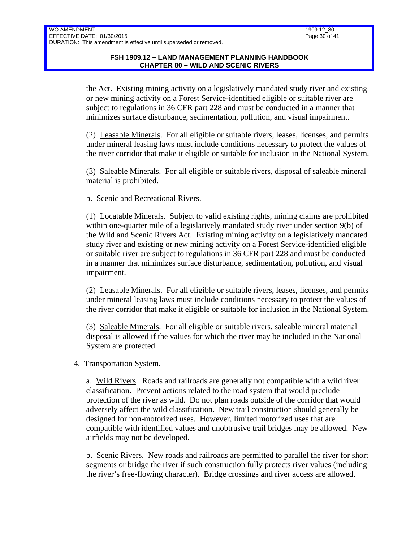the Act. Existing mining activity on a legislatively mandated study river and existing or new mining activity on a Forest Service-identified eligible or suitable river are subject to regulations in 36 CFR part 228 and must be conducted in a manner that minimizes surface disturbance, sedimentation, pollution, and visual impairment.

(2) Leasable Minerals. For all eligible or suitable rivers, leases, licenses, and permits under mineral leasing laws must include conditions necessary to protect the values of the river corridor that make it eligible or suitable for inclusion in the National System.

(3) Saleable Minerals. For all eligible or suitable rivers, disposal of saleable mineral material is prohibited.

### b. Scenic and Recreational Rivers.

(1) Locatable Minerals. Subject to valid existing rights, mining claims are prohibited within one-quarter mile of a legislatively mandated study river under section 9(b) of the Wild and Scenic Rivers Act. Existing mining activity on a legislatively mandated study river and existing or new mining activity on a Forest Service-identified eligible or suitable river are subject to regulations in 36 CFR part 228 and must be conducted in a manner that minimizes surface disturbance, sedimentation, pollution, and visual impairment.

(2) Leasable Minerals. For all eligible or suitable rivers, leases, licenses, and permits under mineral leasing laws must include conditions necessary to protect the values of the river corridor that make it eligible or suitable for inclusion in the National System.

(3) Saleable Minerals. For all eligible or suitable rivers, saleable mineral material disposal is allowed if the values for which the river may be included in the National System are protected.

### 4. Transportation System.

a. Wild Rivers. Roads and railroads are generally not compatible with a wild river classification. Prevent actions related to the road system that would preclude protection of the river as wild. Do not plan roads outside of the corridor that would adversely affect the wild classification. New trail construction should generally be designed for non-motorized uses. However, limited motorized uses that are compatible with identified values and unobtrusive trail bridges may be allowed. New airfields may not be developed.

b. Scenic Rivers. New roads and railroads are permitted to parallel the river for short segments or bridge the river if such construction fully protects river values (including the river's free-flowing character). Bridge crossings and river access are allowed.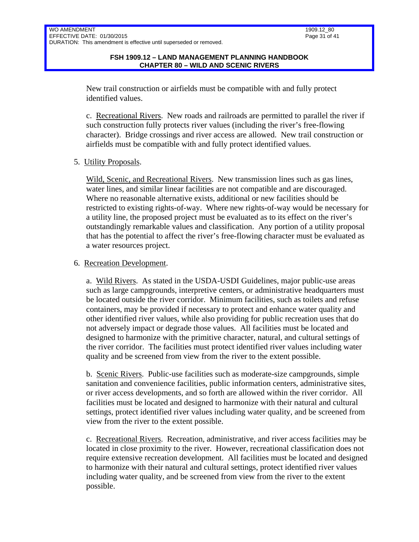New trail construction or airfields must be compatible with and fully protect identified values.

c. Recreational Rivers. New roads and railroads are permitted to parallel the river if such construction fully protects river values (including the river's free-flowing character). Bridge crossings and river access are allowed. New trail construction or airfields must be compatible with and fully protect identified values.

### 5. Utility Proposals.

Wild, Scenic, and Recreational Rivers. New transmission lines such as gas lines, water lines, and similar linear facilities are not compatible and are discouraged. Where no reasonable alternative exists, additional or new facilities should be restricted to existing rights-of-way. Where new rights-of-way would be necessary for a utility line, the proposed project must be evaluated as to its effect on the river's outstandingly remarkable values and classification. Any portion of a utility proposal that has the potential to affect the river's free-flowing character must be evaluated as a water resources project.

### 6. Recreation Development.

a. Wild Rivers. As stated in the USDA-USDI Guidelines, major public-use areas such as large campgrounds, interpretive centers, or administrative headquarters must be located outside the river corridor. Minimum facilities, such as toilets and refuse containers, may be provided if necessary to protect and enhance water quality and other identified river values, while also providing for public recreation uses that do not adversely impact or degrade those values. All facilities must be located and designed to harmonize with the primitive character, natural, and cultural settings of the river corridor. The facilities must protect identified river values including water quality and be screened from view from the river to the extent possible.

b. Scenic Rivers. Public-use facilities such as moderate-size campgrounds, simple sanitation and convenience facilities, public information centers, administrative sites, or river access developments, and so forth are allowed within the river corridor. All facilities must be located and designed to harmonize with their natural and cultural settings, protect identified river values including water quality, and be screened from view from the river to the extent possible.

c. Recreational Rivers. Recreation, administrative, and river access facilities may be located in close proximity to the river. However, recreational classification does not require extensive recreation development. All facilities must be located and designed to harmonize with their natural and cultural settings, protect identified river values including water quality, and be screened from view from the river to the extent possible.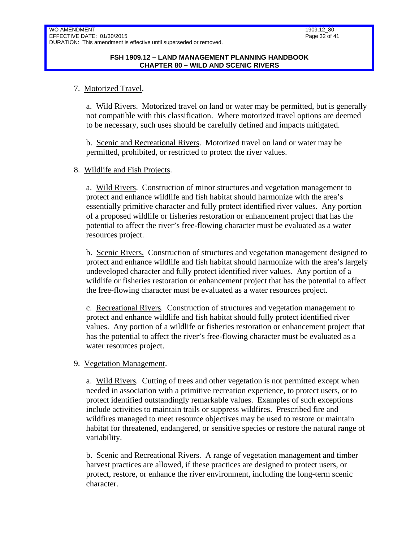### 7. Motorized Travel.

a. Wild Rivers. Motorized travel on land or water may be permitted, but is generally not compatible with this classification. Where motorized travel options are deemed to be necessary, such uses should be carefully defined and impacts mitigated.

b. Scenic and Recreational Rivers. Motorized travel on land or water may be permitted, prohibited, or restricted to protect the river values.

### 8. Wildlife and Fish Projects.

a. Wild Rivers. Construction of minor structures and vegetation management to protect and enhance wildlife and fish habitat should harmonize with the area's essentially primitive character and fully protect identified river values. Any portion of a proposed wildlife or fisheries restoration or enhancement project that has the potential to affect the river's free-flowing character must be evaluated as a water resources project.

b. Scenic Rivers. Construction of structures and vegetation management designed to protect and enhance wildlife and fish habitat should harmonize with the area's largely undeveloped character and fully protect identified river values. Any portion of a wildlife or fisheries restoration or enhancement project that has the potential to affect the free-flowing character must be evaluated as a water resources project.

c. Recreational Rivers. Construction of structures and vegetation management to protect and enhance wildlife and fish habitat should fully protect identified river values. Any portion of a wildlife or fisheries restoration or enhancement project that has the potential to affect the river's free-flowing character must be evaluated as a water resources project.

### 9. Vegetation Management.

a. Wild Rivers. Cutting of trees and other vegetation is not permitted except when needed in association with a primitive recreation experience, to protect users, or to protect identified outstandingly remarkable values. Examples of such exceptions include activities to maintain trails or suppress wildfires. Prescribed fire and wildfires managed to meet resource objectives may be used to restore or maintain habitat for threatened, endangered, or sensitive species or restore the natural range of variability.

b. Scenic and Recreational Rivers. A range of vegetation management and timber harvest practices are allowed, if these practices are designed to protect users, or protect, restore, or enhance the river environment, including the long-term scenic character.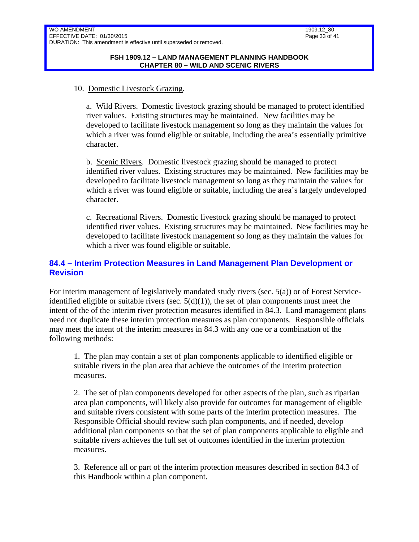### 10. Domestic Livestock Grazing.

a. Wild Rivers. Domestic livestock grazing should be managed to protect identified river values. Existing structures may be maintained. New facilities may be developed to facilitate livestock management so long as they maintain the values for which a river was found eligible or suitable, including the area's essentially primitive character.

b. Scenic Rivers. Domestic livestock grazing should be managed to protect identified river values. Existing structures may be maintained. New facilities may be developed to facilitate livestock management so long as they maintain the values for which a river was found eligible or suitable, including the area's largely undeveloped character.

c. Recreational Rivers. Domestic livestock grazing should be managed to protect identified river values. Existing structures may be maintained. New facilities may be developed to facilitate livestock management so long as they maintain the values for which a river was found eligible or suitable.

## <span id="page-32-0"></span>**84.4 – Interim Protection Measures in Land Management Plan Development or Revision**

For interim management of legislatively mandated study rivers (sec. 5(a)) or of Forest Serviceidentified eligible or suitable rivers (sec.  $5(d)(1)$ ), the set of plan components must meet the intent of the of the interim river protection measures identified in 84.3. Land management plans need not duplicate these interim protection measures as plan components. Responsible officials may meet the intent of the interim measures in 84.3 with any one or a combination of the following methods:

1. The plan may contain a set of plan components applicable to identified eligible or suitable rivers in the plan area that achieve the outcomes of the interim protection measures.

2. The set of plan components developed for other aspects of the plan, such as riparian area plan components, will likely also provide for outcomes for management of eligible and suitable rivers consistent with some parts of the interim protection measures. The Responsible Official should review such plan components, and if needed, develop additional plan components so that the set of plan components applicable to eligible and suitable rivers achieves the full set of outcomes identified in the interim protection measures.

3. Reference all or part of the interim protection measures described in section 84.3 of this Handbook within a plan component.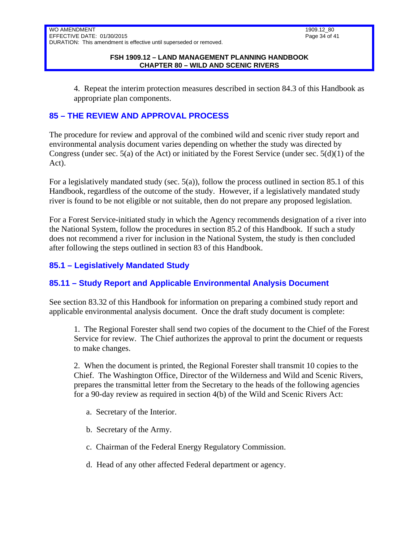4. Repeat the interim protection measures described in section 84.3 of this Handbook as appropriate plan components.

# <span id="page-33-0"></span>**85 – THE REVIEW AND APPROVAL PROCESS**

The procedure for review and approval of the combined wild and scenic river study report and environmental analysis document varies depending on whether the study was directed by Congress (under sec. 5(a) of the Act) or initiated by the Forest Service (under sec. 5(d)(1) of the Act).

For a legislatively mandated study (sec. 5(a)), follow the process outlined in section 85.1 of this Handbook, regardless of the outcome of the study. However, if a legislatively mandated study river is found to be not eligible or not suitable, then do not prepare any proposed legislation.

For a Forest Service-initiated study in which the Agency recommends designation of a river into the National System, follow the procedures in section 85.2 of this Handbook. If such a study does not recommend a river for inclusion in the National System, the study is then concluded after following the steps outlined in section 83 of this Handbook.

# <span id="page-33-1"></span>**85.1 – Legislatively Mandated Study**

# <span id="page-33-2"></span>**85.11 – Study Report and Applicable Environmental Analysis Document**

See section 83.32 of this Handbook for information on preparing a combined study report and applicable environmental analysis document. Once the draft study document is complete:

1. The Regional Forester shall send two copies of the document to the Chief of the Forest Service for review. The Chief authorizes the approval to print the document or requests to make changes.

2. When the document is printed, the Regional Forester shall transmit 10 copies to the Chief. The Washington Office, Director of the Wilderness and Wild and Scenic Rivers, prepares the transmittal letter from the Secretary to the heads of the following agencies for a 90-day review as required in section 4(b) of the Wild and Scenic Rivers Act:

- a. Secretary of the Interior.
- b. Secretary of the Army.
- c. Chairman of the Federal Energy Regulatory Commission.
- d. Head of any other affected Federal department or agency.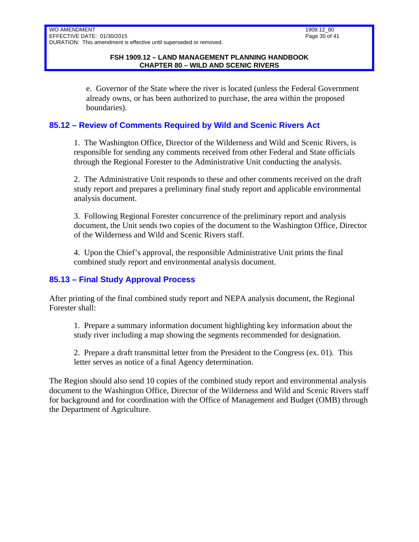e. Governor of the State where the river is located (unless the Federal Government already owns, or has been authorized to purchase, the area within the proposed boundaries).

## <span id="page-34-0"></span>**85.12 – Review of Comments Required by Wild and Scenic Rivers Act**

1. The Washington Office, Director of the Wilderness and Wild and Scenic Rivers, is responsible for sending any comments received from other Federal and State officials through the Regional Forester to the Administrative Unit conducting the analysis.

2. The Administrative Unit responds to these and other comments received on the draft study report and prepares a preliminary final study report and applicable environmental analysis document.

3. Following Regional Forester concurrence of the preliminary report and analysis document, the Unit sends two copies of the document to the Washington Office, Director of the Wilderness and Wild and Scenic Rivers staff.

4. Upon the Chief's approval, the responsible Administrative Unit prints the final combined study report and environmental analysis document.

# <span id="page-34-1"></span>**85.13 – Final Study Approval Process**

After printing of the final combined study report and NEPA analysis document, the Regional Forester shall:

1. Prepare a summary information document highlighting key information about the study river including a map showing the segments recommended for designation.

2. Prepare a draft transmittal letter from the President to the Congress (ex. 01). This letter serves as notice of a final Agency determination.

The Region should also send 10 copies of the combined study report and environmental analysis document to the Washington Office, Director of the Wilderness and Wild and Scenic Rivers staff for background and for coordination with the Office of Management and Budget (OMB) through the Department of Agriculture.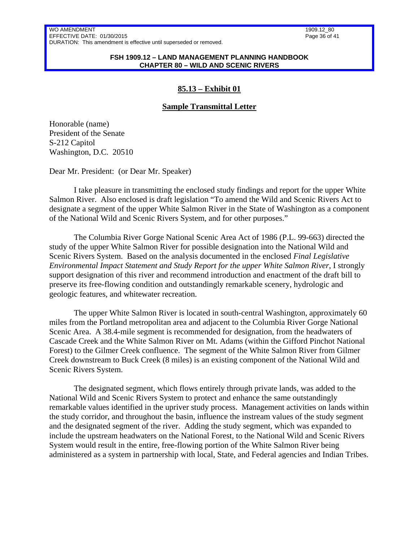1909.12\_80 Page 36 of 41

#### **FSH 1909.12 – LAND MANAGEMENT PLANNING HANDBOOK CHAPTER 80 – WILD AND SCENIC RIVERS**

### **85.13 – Exhibit 01**

### **Sample Transmittal Letter**

Honorable (name) President of the Senate S-212 Capitol Washington, D.C. 20510

Dear Mr. President: (or Dear Mr. Speaker)

I take pleasure in transmitting the enclosed study findings and report for the upper White Salmon River. Also enclosed is draft legislation "To amend the Wild and Scenic Rivers Act to designate a segment of the upper White Salmon River in the State of Washington as a component of the National Wild and Scenic Rivers System, and for other purposes."

The Columbia River Gorge National Scenic Area Act of 1986 (P.L. 99-663) directed the study of the upper White Salmon River for possible designation into the National Wild and Scenic Rivers System. Based on the analysis documented in the enclosed *Final Legislative Environmental Impact Statement and Study Report for the upper White Salmon River*, I strongly support designation of this river and recommend introduction and enactment of the draft bill to preserve its free-flowing condition and outstandingly remarkable scenery, hydrologic and geologic features, and whitewater recreation.

The upper White Salmon River is located in south-central Washington, approximately 60 miles from the Portland metropolitan area and adjacent to the Columbia River Gorge National Scenic Area. A 38.4-mile segment is recommended for designation, from the headwaters of Cascade Creek and the White Salmon River on Mt. Adams (within the Gifford Pinchot National Forest) to the Gilmer Creek confluence. The segment of the White Salmon River from Gilmer Creek downstream to Buck Creek (8 miles) is an existing component of the National Wild and Scenic Rivers System.

The designated segment, which flows entirely through private lands, was added to the National Wild and Scenic Rivers System to protect and enhance the same outstandingly remarkable values identified in the upriver study process. Management activities on lands within the study corridor, and throughout the basin, influence the instream values of the study segment and the designated segment of the river. Adding the study segment, which was expanded to include the upstream headwaters on the National Forest, to the National Wild and Scenic Rivers System would result in the entire, free-flowing portion of the White Salmon River being administered as a system in partnership with local, State, and Federal agencies and Indian Tribes.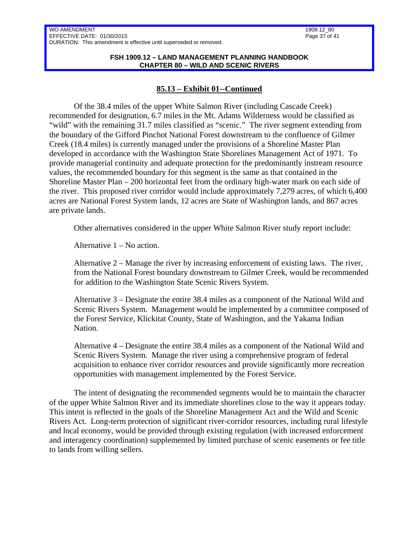#### **FSH 1909.12 – LAND MANAGEMENT PLANNING HANDBOOK CHAPTER 80 – WILD AND SCENIC RIVERS**

### **85.13 – Exhibit 01--Continued**

Of the 38.4 miles of the upper White Salmon River (including Cascade Creek) recommended for designation, 6.7 miles in the Mt. Adams Wilderness would be classified as "wild" with the remaining 31.7 miles classified as "scenic." The river segment extending from the boundary of the Gifford Pinchot National Forest downstream to the confluence of Gilmer Creek (18.4 miles) is currently managed under the provisions of a Shoreline Master Plan developed in accordance with the Washington State Shorelines Management Act of 1971. To provide managerial continuity and adequate protection for the predominantly instream resource values, the recommended boundary for this segment is the same as that contained in the Shoreline Master Plan – 200 horizontal feet from the ordinary high-water mark on each side of the river. This proposed river corridor would include approximately 7,279 acres, of which 6,400 acres are National Forest System lands, 12 acres are State of Washington lands, and 867 acres are private lands.

Other alternatives considered in the upper White Salmon River study report include:

Alternative 1 – No action.

Alternative 2 – Manage the river by increasing enforcement of existing laws. The river, from the National Forest boundary downstream to Gilmer Creek, would be recommended for addition to the Washington State Scenic Rivers System.

Alternative 3 – Designate the entire 38.4 miles as a component of the National Wild and Scenic Rivers System. Management would be implemented by a committee composed of the Forest Service, Klickitat County, State of Washington, and the Yakama Indian Nation.

Alternative 4 – Designate the entire 38.4 miles as a component of the National Wild and Scenic Rivers System. Manage the river using a comprehensive program of federal acquisition to enhance river corridor resources and provide significantly more recreation opportunities with management implemented by the Forest Service.

The intent of designating the recommended segments would be to maintain the character of the upper White Salmon River and its immediate shorelines close to the way it appears today. This intent is reflected in the goals of the Shoreline Management Act and the Wild and Scenic Rivers Act. Long-term protection of significant river-corridor resources, including rural lifestyle and local economy, would be provided through existing regulation (with increased enforcement and interagency coordination) supplemented by limited purchase of scenic easements or fee title to lands from willing sellers.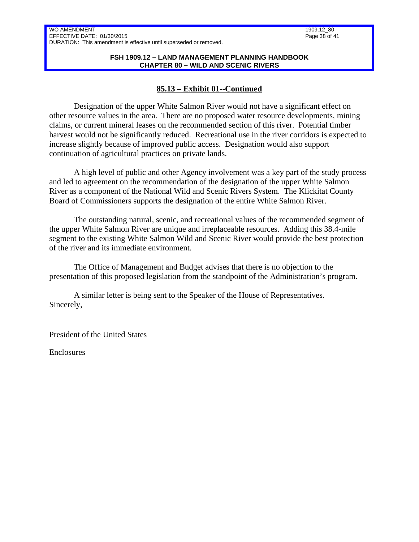#### **FSH 1909.12 – LAND MANAGEMENT PLANNING HANDBOOK CHAPTER 80 – WILD AND SCENIC RIVERS**

## **85.13 – Exhibit 01--Continued**

Designation of the upper White Salmon River would not have a significant effect on other resource values in the area. There are no proposed water resource developments, mining claims, or current mineral leases on the recommended section of this river. Potential timber harvest would not be significantly reduced. Recreational use in the river corridors is expected to increase slightly because of improved public access. Designation would also support continuation of agricultural practices on private lands.

A high level of public and other Agency involvement was a key part of the study process and led to agreement on the recommendation of the designation of the upper White Salmon River as a component of the National Wild and Scenic Rivers System. The Klickitat County Board of Commissioners supports the designation of the entire White Salmon River.

The outstanding natural, scenic, and recreational values of the recommended segment of the upper White Salmon River are unique and irreplaceable resources. Adding this 38.4-mile segment to the existing White Salmon Wild and Scenic River would provide the best protection of the river and its immediate environment.

The Office of Management and Budget advises that there is no objection to the presentation of this proposed legislation from the standpoint of the Administration's program.

A similar letter is being sent to the Speaker of the House of Representatives. Sincerely,

President of the United States

Enclosures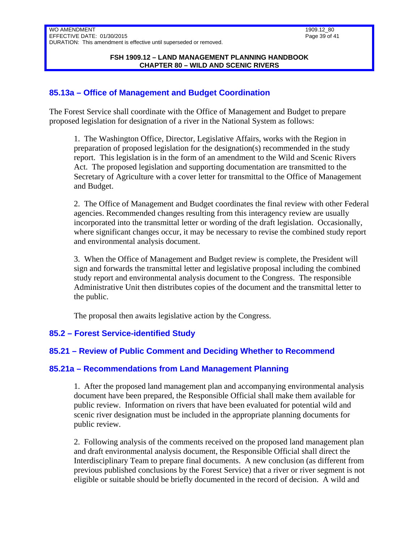## <span id="page-38-0"></span>**85.13a – Office of Management and Budget Coordination**

The Forest Service shall coordinate with the Office of Management and Budget to prepare proposed legislation for designation of a river in the National System as follows:

1. The Washington Office, Director, Legislative Affairs, works with the Region in preparation of proposed legislation for the designation(s) recommended in the study report. This legislation is in the form of an amendment to the Wild and Scenic Rivers Act. The proposed legislation and supporting documentation are transmitted to the Secretary of Agriculture with a cover letter for transmittal to the Office of Management and Budget.

2. The Office of Management and Budget coordinates the final review with other Federal agencies. Recommended changes resulting from this interagency review are usually incorporated into the transmittal letter or wording of the draft legislation. Occasionally, where significant changes occur, it may be necessary to revise the combined study report and environmental analysis document.

3. When the Office of Management and Budget review is complete, the President will sign and forwards the transmittal letter and legislative proposal including the combined study report and environmental analysis document to the Congress. The responsible Administrative Unit then distributes copies of the document and the transmittal letter to the public.

The proposal then awaits legislative action by the Congress.

### <span id="page-38-1"></span>**85.2 – Forest Service-identified Study**

### <span id="page-38-2"></span>**85.21 – Review of Public Comment and Deciding Whether to Recommend**

### <span id="page-38-3"></span>**85.21a – Recommendations from Land Management Planning**

1. After the proposed land management plan and accompanying environmental analysis document have been prepared, the Responsible Official shall make them available for public review. Information on rivers that have been evaluated for potential wild and scenic river designation must be included in the appropriate planning documents for public review.

2. Following analysis of the comments received on the proposed land management plan and draft environmental analysis document, the Responsible Official shall direct the Interdisciplinary Team to prepare final documents. A new conclusion (as different from previous published conclusions by the Forest Service) that a river or river segment is not eligible or suitable should be briefly documented in the record of decision. A wild and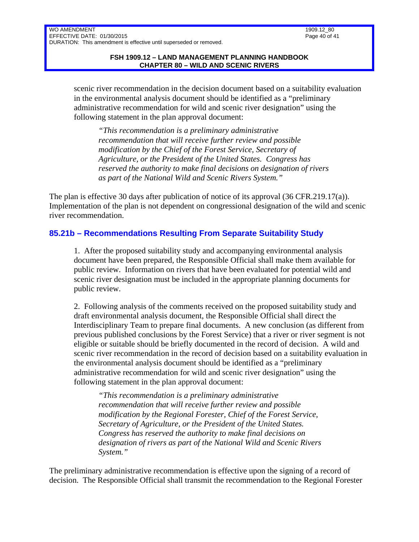scenic river recommendation in the decision document based on a suitability evaluation in the environmental analysis document should be identified as a "preliminary administrative recommendation for wild and scenic river designation" using the following statement in the plan approval document:

*"This recommendation is a preliminary administrative recommendation that will receive further review and possible modification by the Chief of the Forest Service, Secretary of Agriculture, or the President of the United States. Congress has reserved the authority to make final decisions on designation of rivers as part of the National Wild and Scenic Rivers System."*

The plan is effective 30 days after publication of notice of its approval (36 CFR.219.17(a)). Implementation of the plan is not dependent on congressional designation of the wild and scenic river recommendation.

# <span id="page-39-0"></span>**85.21b – Recommendations Resulting From Separate Suitability Study**

1. After the proposed suitability study and accompanying environmental analysis document have been prepared, the Responsible Official shall make them available for public review. Information on rivers that have been evaluated for potential wild and scenic river designation must be included in the appropriate planning documents for public review.

2. Following analysis of the comments received on the proposed suitability study and draft environmental analysis document, the Responsible Official shall direct the Interdisciplinary Team to prepare final documents. A new conclusion (as different from previous published conclusions by the Forest Service) that a river or river segment is not eligible or suitable should be briefly documented in the record of decision. A wild and scenic river recommendation in the record of decision based on a suitability evaluation in the environmental analysis document should be identified as a "preliminary administrative recommendation for wild and scenic river designation" using the following statement in the plan approval document:

*"This recommendation is a preliminary administrative recommendation that will receive further review and possible modification by the Regional Forester, Chief of the Forest Service, Secretary of Agriculture, or the President of the United States. Congress has reserved the authority to make final decisions on designation of rivers as part of the National Wild and Scenic Rivers System."*

The preliminary administrative recommendation is effective upon the signing of a record of decision. The Responsible Official shall transmit the recommendation to the Regional Forester